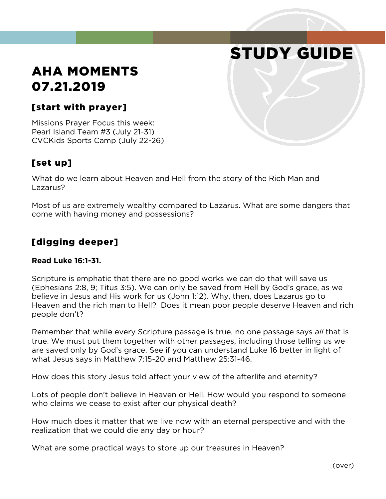# STUDY GUIDE

## AHA MOMENTS 07.21.2019

#### [start with prayer]

Missions Prayer Focus this week: Pearl Island Team #3 (July 21-31) CVCKids Sports Camp (July 22-26)

#### [set up]

What do we learn about Heaven and Hell from the story of the Rich Man and Lazarus?

Most of us are extremely wealthy compared to Lazarus. What are some dangers that come with having money and possessions?

#### [digging deeper]

#### **Read Luke 16:1-31.**

Scripture is emphatic that there are no good works we can do that will save us (Ephesians 2:8, 9; Titus 3:5). We can only be saved from Hell by God's grace, as we believe in Jesus and His work for us (John 1:12). Why, then, does Lazarus go to Heaven and the rich man to Hell? Does it mean poor people deserve Heaven and rich people don't?

Remember that while every Scripture passage is true, no one passage says *all* that is true. We must put them together with other passages, including those telling us we are saved only by God's grace. See if you can understand Luke 16 better in light of what Jesus says in Matthew 7:15-20 and Matthew 25:31-46.

How does this story Jesus told affect your view of the afterlife and eternity?

Lots of people don't believe in Heaven or Hell. How would you respond to someone who claims we cease to exist after our physical death?

How much does it matter that we live now with an eternal perspective and with the realization that we could die any day or hour?

What are some practical ways to store up our treasures in Heaven?